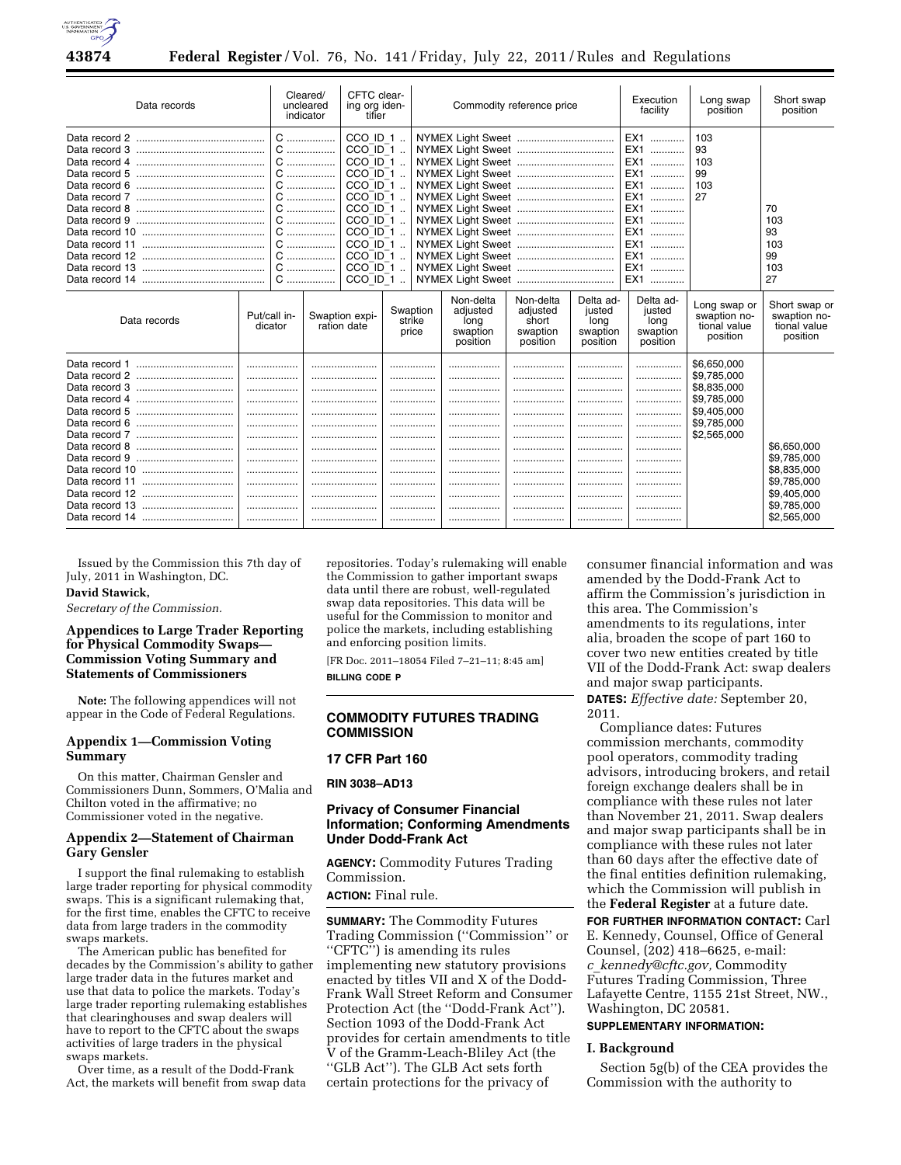

| Data records                                                                                                          |                                                                  | Cleared/<br>uncleared<br>indicator                                        |                                                                                                                                                                                | CFTC clear-<br>ing org iden-<br>tifier    |                                                       | Commodity reference price                              |                                                      | Execution<br>facility                                                                                                                                                                                                                     | Long swap<br>position                                                                                 | Short swap<br>position                                                                                |
|-----------------------------------------------------------------------------------------------------------------------|------------------------------------------------------------------|---------------------------------------------------------------------------|--------------------------------------------------------------------------------------------------------------------------------------------------------------------------------|-------------------------------------------|-------------------------------------------------------|--------------------------------------------------------|------------------------------------------------------|-------------------------------------------------------------------------------------------------------------------------------------------------------------------------------------------------------------------------------------------|-------------------------------------------------------------------------------------------------------|-------------------------------------------------------------------------------------------------------|
| Data record 4<br>Data record 6<br>Data record 7<br>Data record 8<br>Data record 9<br>Data record 11<br>Data record 12 | C<br>C                                                           | C<br>C<br>C<br>C<br>.<br>.<br>.<br>C<br>C<br>C<br>C<br>C<br>${\mathsf C}$ | CCO ID 1<br>$CCO$ ID 1<br>$CCO$ $ID-1$<br>$CCO$ ID 1<br>$CCO$ ID 1<br>$CCO$ ID 1<br>$CCO$ ID 1<br>$CCO$ ID 1<br>$CCO-11-1$<br>$CCO-11$<br>$CCO$ ID 1<br>$CCO$ ID 1<br>CCO ID 1 |                                           |                                                       |                                                        |                                                      | EX1<br>EX1<br>EX <sub>1</sub><br>.<br>EX <sub>1</sub><br>.<br>EX1<br>.<br>EX1<br>.<br>EX <sub>1</sub><br>.<br>EX <sub>1</sub><br>.<br>EX <sub>1</sub><br>.<br>EX <sub>1</sub><br>.<br>EX <sub>1</sub><br>.<br>EX <sub>1</sub><br>.<br>EX1 | 103<br>93<br>103<br>99<br>103<br>27                                                                   | 70<br>103<br>93<br>103<br>99<br>103<br>27                                                             |
| Data records                                                                                                          | Swaption expi-<br>Put/call in-<br>dicator<br>ration date         |                                                                           |                                                                                                                                                                                | Swaption<br>strike<br>price               | Non-delta<br>adjusted<br>long<br>swaption<br>position | Non-delta<br>adjusted<br>short<br>swaption<br>position | Delta ad-<br>iusted<br>long<br>swaption<br>position  | Delta ad-<br>justed<br>long<br>swaption<br>position                                                                                                                                                                                       | Long swap or<br>swaption no-<br>tional value<br>position                                              | Short swap or<br>swaption no-<br>tional value<br>position                                             |
| Data record 4                                                                                                         | .<br>.<br>.<br>.<br>.<br>.<br>.<br>.<br>.<br>.<br><br>.<br><br>. |                                                                           |                                                                                                                                                                                | <br><br><br><br><br><br><br><br>.<br><br> | .<br><br><br><br><br><br><br><br>.<br><br>            | .<br><br><br><br><br><br><br><br><br><br>              | .<br>.<br><br><br><br>.<br><br><br><br>.<br><br><br> | .<br>.<br><br>.<br>.<br>.<br><br><br><br>.<br><br><br>                                                                                                                                                                                    | \$6,650,000<br>\$9,785,000<br>\$8,835,000<br>\$9,785,000<br>\$9,405,000<br>\$9,785,000<br>\$2,565,000 | \$6.650,000<br>\$9,785,000<br>\$8,835,000<br>\$9,785,000<br>\$9,405,000<br>\$9,785,000<br>\$2,565,000 |

Issued by the Commission this 7th day of July, 2011 in Washington, DC. **David Stawick,** 

*Secretary of the Commission.* 

# **Appendices to Large Trader Reporting for Physical Commodity Swaps— Commission Voting Summary and Statements of Commissioners**

**Note:** The following appendices will not appear in the Code of Federal Regulations.

### **Appendix 1—Commission Voting Summary**

On this matter, Chairman Gensler and Commissioners Dunn, Sommers, O'Malia and Chilton voted in the affirmative; no Commissioner voted in the negative.

### **Appendix 2—Statement of Chairman Gary Gensler**

I support the final rulemaking to establish large trader reporting for physical commodity swaps. This is a significant rulemaking that, for the first time, enables the CFTC to receive data from large traders in the commodity swaps markets.

The American public has benefited for decades by the Commission's ability to gather large trader data in the futures market and use that data to police the markets. Today's large trader reporting rulemaking establishes that clearinghouses and swap dealers will have to report to the CFTC about the swaps activities of large traders in the physical swaps markets.

Over time, as a result of the Dodd-Frank Act, the markets will benefit from swap data

repositories. Today's rulemaking will enable the Commission to gather important swaps data until there are robust, well-regulated swap data repositories. This data will be useful for the Commission to monitor and police the markets, including establishing and enforcing position limits.

[FR Doc. 2011–18054 Filed 7–21–11; 8:45 am] **BILLING CODE P** 

### **COMMODITY FUTURES TRADING COMMISSION**

### **17 CFR Part 160**

**RIN 3038–AD13** 

# **Privacy of Consumer Financial Information; Conforming Amendments Under Dodd-Frank Act**

**AGENCY:** Commodity Futures Trading Commission.

**ACTION:** Final rule.

**SUMMARY:** The Commodity Futures Trading Commission (''Commission'' or ''CFTC'') is amending its rules implementing new statutory provisions enacted by titles VII and X of the Dodd-Frank Wall Street Reform and Consumer Protection Act (the ''Dodd-Frank Act''). Section 1093 of the Dodd-Frank Act provides for certain amendments to title V of the Gramm-Leach-Bliley Act (the ''GLB Act''). The GLB Act sets forth certain protections for the privacy of

consumer financial information and was amended by the Dodd-Frank Act to affirm the Commission's jurisdiction in this area. The Commission's amendments to its regulations, inter alia, broaden the scope of part 160 to cover two new entities created by title VII of the Dodd-Frank Act: swap dealers and major swap participants.

**DATES:** *Effective date:* September 20, 2011.

Compliance dates: Futures commission merchants, commodity pool operators, commodity trading advisors, introducing brokers, and retail foreign exchange dealers shall be in compliance with these rules not later than November 21, 2011. Swap dealers and major swap participants shall be in compliance with these rules not later than 60 days after the effective date of the final entities definition rulemaking, which the Commission will publish in the **Federal Register** at a future date.

**FOR FURTHER INFORMATION CONTACT:** Carl E. Kennedy, Counsel, Office of General Counsel, (202) 418–6625, e-mail: *c*\_*[kennedy@cftc.gov,](mailto:c_kennedy@cftc.gov)* Commodity Futures Trading Commission, Three Lafayette Centre, 1155 21st Street, NW., Washington, DC 20581.

# **SUPPLEMENTARY INFORMATION:**

### **I. Background**

Section 5g(b) of the CEA provides the Commission with the authority to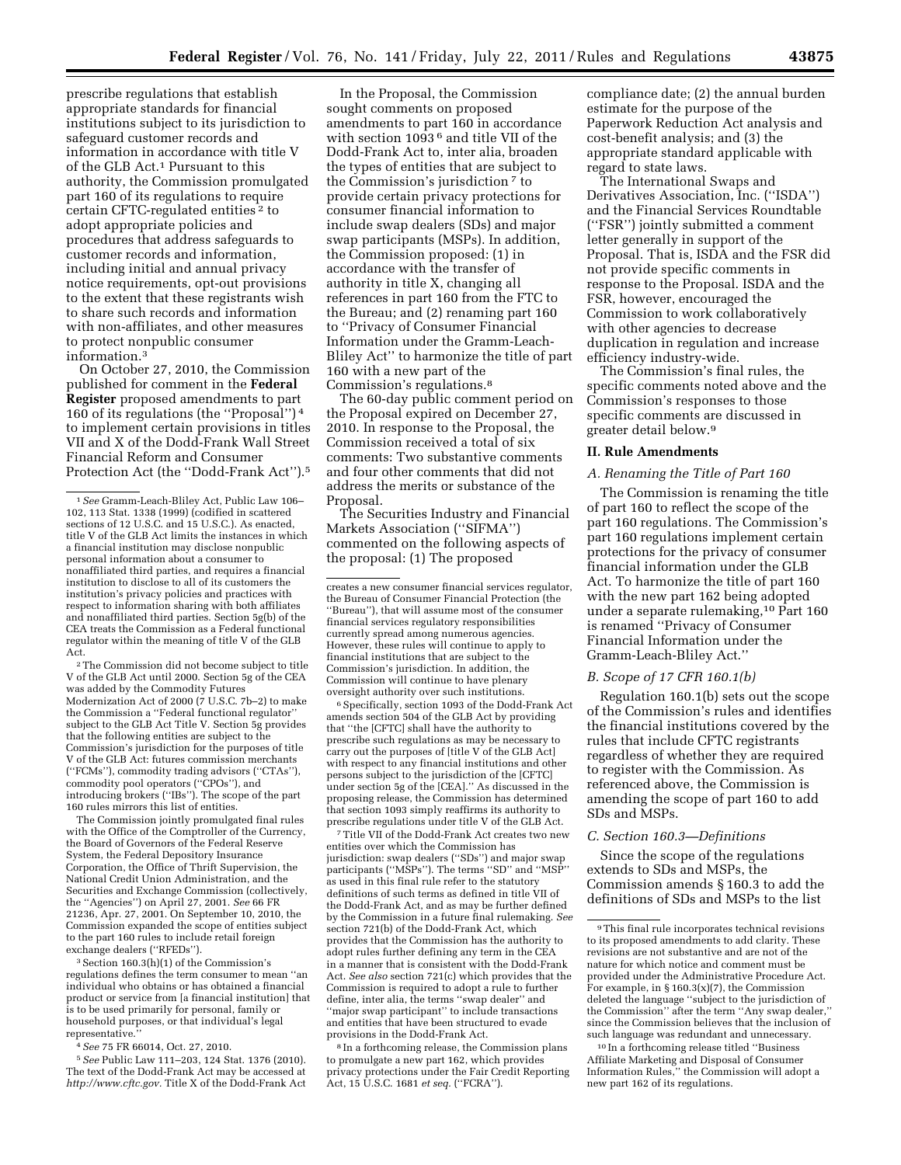prescribe regulations that establish appropriate standards for financial institutions subject to its jurisdiction to safeguard customer records and information in accordance with title V of the GLB Act.1 Pursuant to this authority, the Commission promulgated part 160 of its regulations to require certain CFTC-regulated entities 2 to adopt appropriate policies and procedures that address safeguards to customer records and information, including initial and annual privacy notice requirements, opt-out provisions to the extent that these registrants wish to share such records and information with non-affiliates, and other measures to protect nonpublic consumer information.3

On October 27, 2010, the Commission published for comment in the **Federal Register** proposed amendments to part 160 of its regulations (the ''Proposal'') 4 to implement certain provisions in titles VII and X of the Dodd-Frank Wall Street Financial Reform and Consumer Protection Act (the ''Dodd-Frank Act'').5

2The Commission did not become subject to title V of the GLB Act until 2000. Section 5g of the CEA was added by the Commodity Futures Modernization Act of 2000 (7 U.S.C. 7b–2) to make the Commission a ''Federal functional regulator'' subject to the GLB Act Title V. Section 5g provides that the following entities are subject to the Commission's jurisdiction for the purposes of title V of the GLB Act: futures commission merchants (''FCMs''), commodity trading advisors (''CTAs''), commodity pool operators (''CPOs''), and introducing brokers (''IBs''). The scope of the part 160 rules mirrors this list of entities.

The Commission jointly promulgated final rules with the Office of the Comptroller of the Currency, the Board of Governors of the Federal Reserve System, the Federal Depository Insurance Corporation, the Office of Thrift Supervision, the National Credit Union Administration, and the Securities and Exchange Commission (collectively, the ''Agencies'') on April 27, 2001. *See* 66 FR 21236, Apr. 27, 2001. On September 10, 2010, the Commission expanded the scope of entities subject to the part 160 rules to include retail foreign exchange dealers (''RFEDs'').

3Section 160.3(h)(1) of the Commission's regulations defines the term consumer to mean ''an individual who obtains or has obtained a financial product or service from [a financial institution] that is to be used primarily for personal, family or household purposes, or that individual's legal representative.

4*See* 75 FR 66014, Oct. 27, 2010.

5*See* Public Law 111–203, 124 Stat. 1376 (2010). The text of the Dodd-Frank Act may be accessed at *[http://www.cftc.gov.](http://www.cftc.gov)* Title X of the Dodd-Frank Act

In the Proposal, the Commission sought comments on proposed amendments to part 160 in accordance with section 1093 6 and title VII of the Dodd-Frank Act to, inter alia, broaden the types of entities that are subject to the Commission's jurisdiction 7 to provide certain privacy protections for consumer financial information to include swap dealers (SDs) and major swap participants (MSPs). In addition, the Commission proposed: (1) in accordance with the transfer of authority in title X, changing all references in part 160 from the FTC to the Bureau; and (2) renaming part 160 to ''Privacy of Consumer Financial Information under the Gramm-Leach-Bliley Act'' to harmonize the title of part 160 with a new part of the Commission's regulations.8

The 60-day public comment period on the Proposal expired on December 27, 2010. In response to the Proposal, the Commission received a total of six comments: Two substantive comments and four other comments that did not address the merits or substance of the Proposal.

The Securities Industry and Financial Markets Association (''SIFMA'') commented on the following aspects of the proposal: (1) The proposed

6Specifically, section 1093 of the Dodd-Frank Act amends section 504 of the GLB Act by providing that ''the [CFTC] shall have the authority to prescribe such regulations as may be necessary to carry out the purposes of [title V of the GLB Act] with respect to any financial institutions and other persons subject to the jurisdiction of the [CFTC] under section 5g of the [CEA].'' As discussed in the proposing release, the Commission has determined that section 1093 simply reaffirms its authority to prescribe regulations under title V of the GLB Act.

7Title VII of the Dodd-Frank Act creates two new entities over which the Commission has jurisdiction: swap dealers ("SDs") and major swap participants (''MSPs''). The terms ''SD'' and ''MSP'' as used in this final rule refer to the statutory definitions of such terms as defined in title VII of the Dodd-Frank Act, and as may be further defined by the Commission in a future final rulemaking. *See*  section 721(b) of the Dodd-Frank Act, which provides that the Commission has the authority to adopt rules further defining any term in the CEA in a manner that is consistent with the Dodd-Frank Act. *See also* section 721(c) which provides that the Commission is required to adopt a rule to further define, inter alia, the terms ''swap dealer'' and ''major swap participant'' to include transactions and entities that have been structured to evade provisions in the Dodd-Frank Act.

8 In a forthcoming release, the Commission plans to promulgate a new part 162, which provides privacy protections under the Fair Credit Reporting Act, 15 U.S.C. 1681 *et seq.* (''FCRA'').

compliance date; (2) the annual burden estimate for the purpose of the Paperwork Reduction Act analysis and cost-benefit analysis; and (3) the appropriate standard applicable with regard to state laws.

The International Swaps and Derivatives Association, Inc. (''ISDA'') and the Financial Services Roundtable (''FSR'') jointly submitted a comment letter generally in support of the Proposal. That is, ISDA and the FSR did not provide specific comments in response to the Proposal. ISDA and the FSR, however, encouraged the Commission to work collaboratively with other agencies to decrease duplication in regulation and increase efficiency industry-wide.

The Commission's final rules, the specific comments noted above and the Commission's responses to those specific comments are discussed in greater detail below.9

#### **II. Rule Amendments**

#### *A. Renaming the Title of Part 160*

The Commission is renaming the title of part 160 to reflect the scope of the part 160 regulations. The Commission's part 160 regulations implement certain protections for the privacy of consumer financial information under the GLB Act. To harmonize the title of part 160 with the new part 162 being adopted under a separate rulemaking,10 Part 160 is renamed ''Privacy of Consumer Financial Information under the Gramm-Leach-Bliley Act.''

### *B. Scope of 17 CFR 160.1(b)*

Regulation 160.1(b) sets out the scope of the Commission's rules and identifies the financial institutions covered by the rules that include CFTC registrants regardless of whether they are required to register with the Commission. As referenced above, the Commission is amending the scope of part 160 to add SDs and MSPs.

### *C. Section 160.3—Definitions*

Since the scope of the regulations extends to SDs and MSPs, the Commission amends § 160.3 to add the definitions of SDs and MSPs to the list

10 In a forthcoming release titled ''Business Affiliate Marketing and Disposal of Consumer Information Rules,'' the Commission will adopt a new part 162 of its regulations.

<sup>1</sup>*See* Gramm-Leach-Bliley Act, Public Law 106– 102, 113 Stat. 1338 (1999) (codified in scattered sections of 12 U.S.C. and 15 U.S.C.). As enacted, title V of the GLB Act limits the instances in which a financial institution may disclose nonpublic personal information about a consumer to nonaffiliated third parties, and requires a financial institution to disclose to all of its customers the institution's privacy policies and practices with respect to information sharing with both affiliates and nonaffiliated third parties. Section 5g(b) of the CEA treats the Commission as a Federal functional regulator within the meaning of title V of the GLB Act.

creates a new consumer financial services regulator, the Bureau of Consumer Financial Protection (the ''Bureau''), that will assume most of the consumer financial services regulatory responsibilities currently spread among numerous agencies. However, these rules will continue to apply to financial institutions that are subject to the Commission's jurisdiction. In addition, the Commission will continue to have plenary oversight authority over such institutions.

<sup>9</sup>This final rule incorporates technical revisions to its proposed amendments to add clarity. These revisions are not substantive and are not of the nature for which notice and comment must be provided under the Administrative Procedure Act. For example, in § 160.3(x)(7), the Commission deleted the language ''subject to the jurisdiction of the Commission'' after the term ''Any swap dealer,'' since the Commission believes that the inclusion of such language was redundant and unnecessary.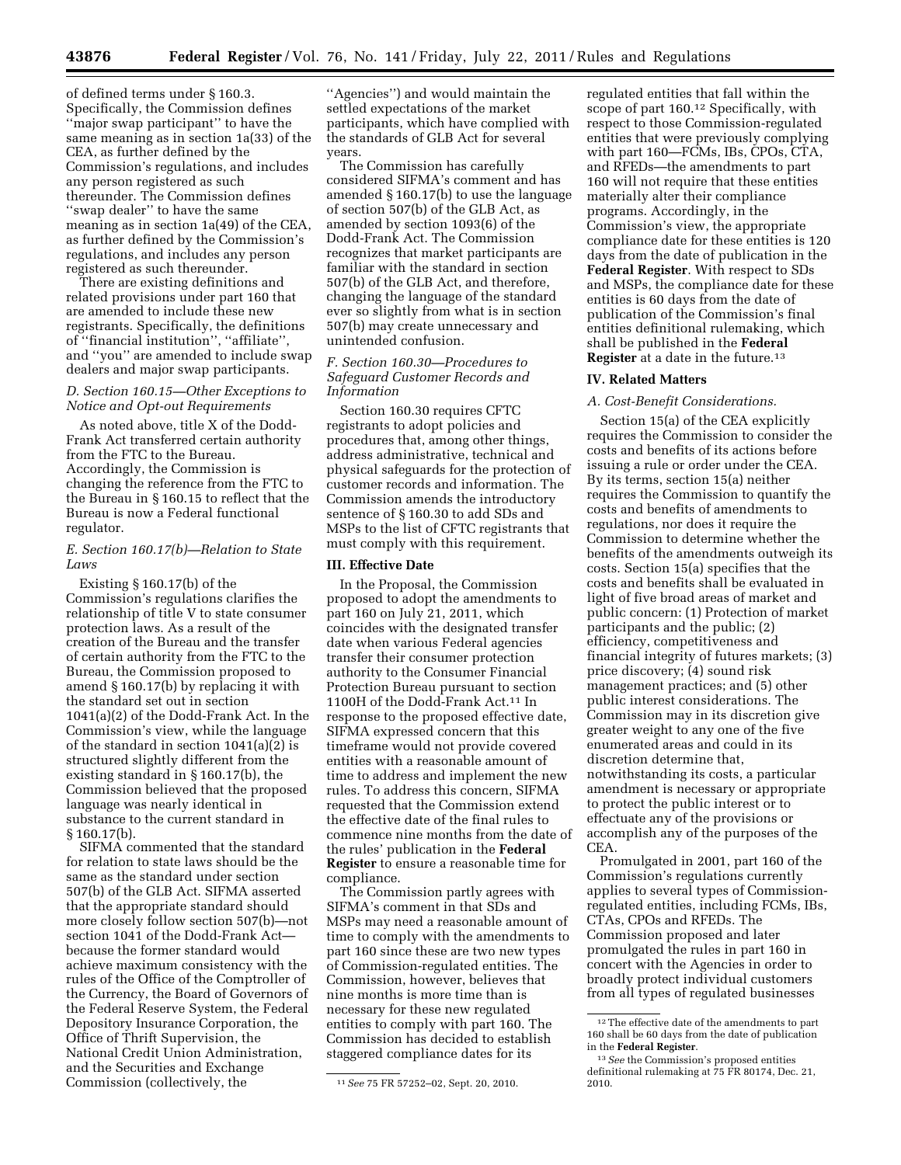of defined terms under § 160.3. Specifically, the Commission defines ''major swap participant'' to have the same meaning as in section 1a(33) of the CEA, as further defined by the Commission's regulations, and includes any person registered as such thereunder. The Commission defines ''swap dealer'' to have the same meaning as in section 1a(49) of the CEA, as further defined by the Commission's regulations, and includes any person registered as such thereunder.

There are existing definitions and related provisions under part 160 that are amended to include these new registrants. Specifically, the definitions of ''financial institution'', ''affiliate'', and ''you'' are amended to include swap dealers and major swap participants.

### *D. Section 160.15—Other Exceptions to Notice and Opt-out Requirements*

As noted above, title X of the Dodd-Frank Act transferred certain authority from the FTC to the Bureau. Accordingly, the Commission is changing the reference from the FTC to the Bureau in § 160.15 to reflect that the Bureau is now a Federal functional regulator.

### *E. Section 160.17(b)—Relation to State Laws*

Existing § 160.17(b) of the Commission's regulations clarifies the relationship of title V to state consumer protection laws. As a result of the creation of the Bureau and the transfer of certain authority from the FTC to the Bureau, the Commission proposed to amend § 160.17(b) by replacing it with the standard set out in section 1041(a)(2) of the Dodd-Frank Act. In the Commission's view, while the language of the standard in section 1041(a)(2) is structured slightly different from the existing standard in § 160.17(b), the Commission believed that the proposed language was nearly identical in substance to the current standard in § 160.17(b).

SIFMA commented that the standard for relation to state laws should be the same as the standard under section 507(b) of the GLB Act. SIFMA asserted that the appropriate standard should more closely follow section 507(b)—not section 1041 of the Dodd-Frank Act because the former standard would achieve maximum consistency with the rules of the Office of the Comptroller of the Currency, the Board of Governors of the Federal Reserve System, the Federal Depository Insurance Corporation, the Office of Thrift Supervision, the National Credit Union Administration, and the Securities and Exchange Commission (collectively, the

''Agencies'') and would maintain the settled expectations of the market participants, which have complied with the standards of GLB Act for several years.

The Commission has carefully considered SIFMA's comment and has amended § 160.17(b) to use the language of section 507(b) of the GLB Act, as amended by section 1093(6) of the Dodd-Frank Act. The Commission recognizes that market participants are familiar with the standard in section 507(b) of the GLB Act, and therefore, changing the language of the standard ever so slightly from what is in section 507(b) may create unnecessary and unintended confusion.

# *F. Section 160.30—Procedures to Safeguard Customer Records and Information*

Section 160.30 requires CFTC registrants to adopt policies and procedures that, among other things, address administrative, technical and physical safeguards for the protection of customer records and information. The Commission amends the introductory sentence of § 160.30 to add SDs and MSPs to the list of CFTC registrants that must comply with this requirement.

### **III. Effective Date**

In the Proposal, the Commission proposed to adopt the amendments to part 160 on July 21, 2011, which coincides with the designated transfer date when various Federal agencies transfer their consumer protection authority to the Consumer Financial Protection Bureau pursuant to section 1100H of the Dodd-Frank Act.11 In response to the proposed effective date, SIFMA expressed concern that this timeframe would not provide covered entities with a reasonable amount of time to address and implement the new rules. To address this concern, SIFMA requested that the Commission extend the effective date of the final rules to commence nine months from the date of the rules' publication in the **Federal Register** to ensure a reasonable time for compliance.

The Commission partly agrees with SIFMA's comment in that SDs and MSPs may need a reasonable amount of time to comply with the amendments to part 160 since these are two new types of Commission-regulated entities. The Commission, however, believes that nine months is more time than is necessary for these new regulated entities to comply with part 160. The Commission has decided to establish staggered compliance dates for its

regulated entities that fall within the scope of part 160.12 Specifically, with respect to those Commission-regulated entities that were previously complying with part 160—FCMs, IBs, CPOs, CTA, and RFEDs—the amendments to part 160 will not require that these entities materially alter their compliance programs. Accordingly, in the Commission's view, the appropriate compliance date for these entities is 120 days from the date of publication in the **Federal Register**. With respect to SDs and MSPs, the compliance date for these entities is 60 days from the date of publication of the Commission's final entities definitional rulemaking, which shall be published in the **Federal Register** at a date in the future.13

#### **IV. Related Matters**

### *A. Cost-Benefit Considerations.*

Section 15(a) of the CEA explicitly requires the Commission to consider the costs and benefits of its actions before issuing a rule or order under the CEA. By its terms, section 15(a) neither requires the Commission to quantify the costs and benefits of amendments to regulations, nor does it require the Commission to determine whether the benefits of the amendments outweigh its costs. Section 15(a) specifies that the costs and benefits shall be evaluated in light of five broad areas of market and public concern: (1) Protection of market participants and the public; (2) efficiency, competitiveness and financial integrity of futures markets; (3) price discovery; (4) sound risk management practices; and (5) other public interest considerations. The Commission may in its discretion give greater weight to any one of the five enumerated areas and could in its discretion determine that, notwithstanding its costs, a particular amendment is necessary or appropriate to protect the public interest or to effectuate any of the provisions or accomplish any of the purposes of the CEA.

Promulgated in 2001, part 160 of the Commission's regulations currently applies to several types of Commissionregulated entities, including FCMs, IBs, CTAs, CPOs and RFEDs. The Commission proposed and later promulgated the rules in part 160 in concert with the Agencies in order to broadly protect individual customers from all types of regulated businesses

<sup>11</sup>*See* 75 FR 57252–02, Sept. 20, 2010.

 $^{\rm 12}$  The effective date of the amendments to part 160 shall be 60 days from the date of publication in the **Federal Register**.

<sup>13</sup>*See* the Commission's proposed entities definitional rulemaking at 75 FR 80174, Dec. 21, 2010.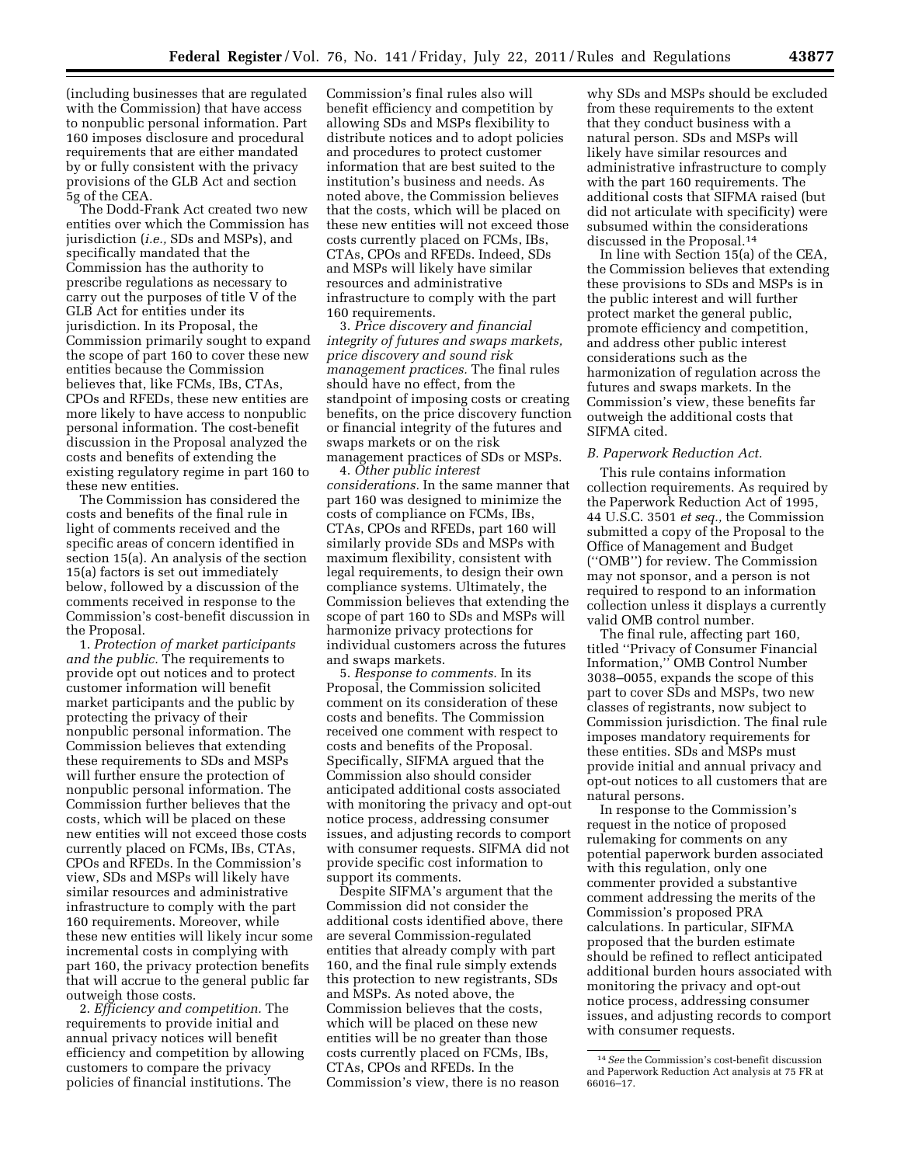(including businesses that are regulated with the Commission) that have access to nonpublic personal information. Part 160 imposes disclosure and procedural requirements that are either mandated by or fully consistent with the privacy provisions of the GLB Act and section 5g of the CEA.

The Dodd-Frank Act created two new entities over which the Commission has jurisdiction (*i.e.,* SDs and MSPs), and specifically mandated that the Commission has the authority to prescribe regulations as necessary to carry out the purposes of title V of the GLB Act for entities under its jurisdiction. In its Proposal, the Commission primarily sought to expand the scope of part 160 to cover these new entities because the Commission believes that, like FCMs, IBs, CTAs, CPOs and RFEDs, these new entities are more likely to have access to nonpublic personal information. The cost-benefit discussion in the Proposal analyzed the costs and benefits of extending the existing regulatory regime in part 160 to these new entities.

The Commission has considered the costs and benefits of the final rule in light of comments received and the specific areas of concern identified in section 15(a). An analysis of the section 15(a) factors is set out immediately below, followed by a discussion of the comments received in response to the Commission's cost-benefit discussion in the Proposal.

1. *Protection of market participants and the public.* The requirements to provide opt out notices and to protect customer information will benefit market participants and the public by protecting the privacy of their nonpublic personal information. The Commission believes that extending these requirements to SDs and MSPs will further ensure the protection of nonpublic personal information. The Commission further believes that the costs, which will be placed on these new entities will not exceed those costs currently placed on FCMs, IBs, CTAs, CPOs and RFEDs. In the Commission's view, SDs and MSPs will likely have similar resources and administrative infrastructure to comply with the part 160 requirements. Moreover, while these new entities will likely incur some incremental costs in complying with part 160, the privacy protection benefits that will accrue to the general public far outweigh those costs.

2. *Efficiency and competition.* The requirements to provide initial and annual privacy notices will benefit efficiency and competition by allowing customers to compare the privacy policies of financial institutions. The

Commission's final rules also will benefit efficiency and competition by allowing SDs and MSPs flexibility to distribute notices and to adopt policies and procedures to protect customer information that are best suited to the institution's business and needs. As noted above, the Commission believes that the costs, which will be placed on these new entities will not exceed those costs currently placed on FCMs, IBs, CTAs, CPOs and RFEDs. Indeed, SDs and MSPs will likely have similar resources and administrative infrastructure to comply with the part 160 requirements.

3. *Price discovery and financial integrity of futures and swaps markets, price discovery and sound risk management practices.* The final rules should have no effect, from the standpoint of imposing costs or creating benefits, on the price discovery function or financial integrity of the futures and swaps markets or on the risk management practices of SDs or MSPs.

4. *Other public interest considerations.* In the same manner that part 160 was designed to minimize the costs of compliance on FCMs, IBs, CTAs, CPOs and RFEDs, part 160 will similarly provide SDs and MSPs with maximum flexibility, consistent with legal requirements, to design their own compliance systems. Ultimately, the Commission believes that extending the scope of part 160 to SDs and MSPs will harmonize privacy protections for individual customers across the futures and swaps markets.

5. *Response to comments.* In its Proposal, the Commission solicited comment on its consideration of these costs and benefits. The Commission received one comment with respect to costs and benefits of the Proposal. Specifically, SIFMA argued that the Commission also should consider anticipated additional costs associated with monitoring the privacy and opt-out notice process, addressing consumer issues, and adjusting records to comport with consumer requests. SIFMA did not provide specific cost information to support its comments.

Despite SIFMA's argument that the Commission did not consider the additional costs identified above, there are several Commission-regulated entities that already comply with part 160, and the final rule simply extends this protection to new registrants, SDs and MSPs. As noted above, the Commission believes that the costs, which will be placed on these new entities will be no greater than those costs currently placed on FCMs, IBs, CTAs, CPOs and RFEDs. In the Commission's view, there is no reason

why SDs and MSPs should be excluded from these requirements to the extent that they conduct business with a natural person. SDs and MSPs will likely have similar resources and administrative infrastructure to comply with the part 160 requirements. The additional costs that SIFMA raised (but did not articulate with specificity) were subsumed within the considerations discussed in the Proposal.14

In line with Section 15(a) of the CEA, the Commission believes that extending these provisions to SDs and MSPs is in the public interest and will further protect market the general public, promote efficiency and competition, and address other public interest considerations such as the harmonization of regulation across the futures and swaps markets. In the Commission's view, these benefits far outweigh the additional costs that SIFMA cited.

### *B. Paperwork Reduction Act.*

This rule contains information collection requirements. As required by the Paperwork Reduction Act of 1995, 44 U.S.C. 3501 *et seq.,* the Commission submitted a copy of the Proposal to the Office of Management and Budget (''OMB'') for review. The Commission may not sponsor, and a person is not required to respond to an information collection unless it displays a currently valid OMB control number.

The final rule, affecting part 160, titled ''Privacy of Consumer Financial Information,'' OMB Control Number 3038–0055, expands the scope of this part to cover SDs and MSPs, two new classes of registrants, now subject to Commission jurisdiction. The final rule imposes mandatory requirements for these entities. SDs and MSPs must provide initial and annual privacy and opt-out notices to all customers that are natural persons.

In response to the Commission's request in the notice of proposed rulemaking for comments on any potential paperwork burden associated with this regulation, only one commenter provided a substantive comment addressing the merits of the Commission's proposed PRA calculations. In particular, SIFMA proposed that the burden estimate should be refined to reflect anticipated additional burden hours associated with monitoring the privacy and opt-out notice process, addressing consumer issues, and adjusting records to comport with consumer requests.

<sup>14</sup>*See* the Commission's cost-benefit discussion and Paperwork Reduction Act analysis at 75 FR at 66016–17.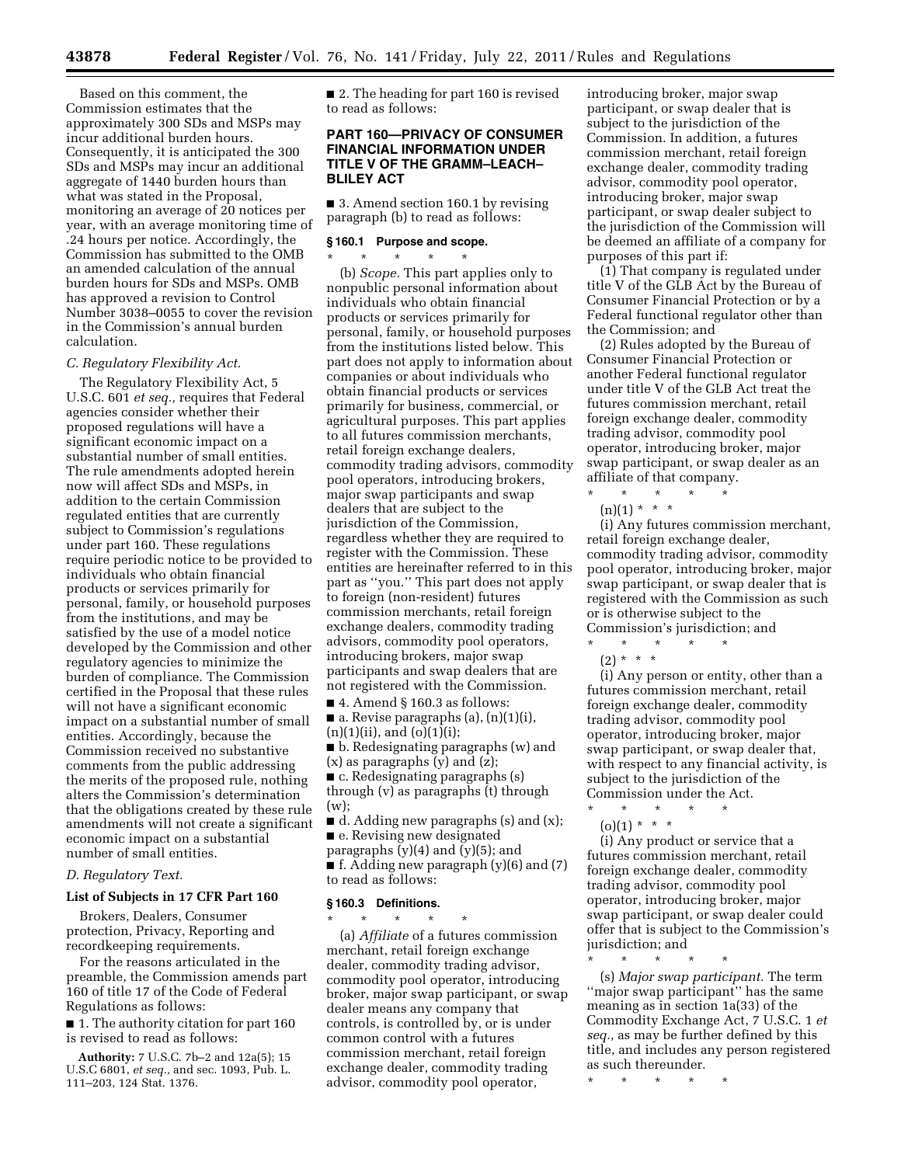Based on this comment, the Commission estimates that the approximately 300 SDs and MSPs may incur additional burden hours. Consequently, it is anticipated the 300 SDs and MSPs may incur an additional aggregate of 1440 burden hours than what was stated in the Proposal, monitoring an average of 20 notices per year, with an average monitoring time of .24 hours per notice. Accordingly, the Commission has submitted to the OMB an amended calculation of the annual burden hours for SDs and MSPs. OMB has approved a revision to Control Number 3038–0055 to cover the revision in the Commission's annual burden calculation.

## *C. Regulatory Flexibility Act.*

The Regulatory Flexibility Act, 5 U.S.C. 601 *et seq.,* requires that Federal agencies consider whether their proposed regulations will have a significant economic impact on a substantial number of small entities. The rule amendments adopted herein now will affect SDs and MSPs, in addition to the certain Commission regulated entities that are currently subject to Commission's regulations under part 160. These regulations require periodic notice to be provided to individuals who obtain financial products or services primarily for personal, family, or household purposes from the institutions, and may be satisfied by the use of a model notice developed by the Commission and other regulatory agencies to minimize the burden of compliance. The Commission certified in the Proposal that these rules will not have a significant economic impact on a substantial number of small entities. Accordingly, because the Commission received no substantive comments from the public addressing the merits of the proposed rule, nothing alters the Commission's determination that the obligations created by these rule amendments will not create a significant economic impact on a substantial number of small entities.

# *D. Regulatory Text.*

# **List of Subjects in 17 CFR Part 160**

Brokers, Dealers, Consumer protection, Privacy, Reporting and recordkeeping requirements.

For the reasons articulated in the preamble, the Commission amends part 160 of title 17 of the Code of Federal Regulations as follows:

■ 1. The authority citation for part 160 is revised to read as follows:

**Authority:** 7 U.S.C. 7b–2 and 12a(5); 15 U.S.C 6801, *et seq.,* and sec. 1093, Pub. L.

111–203, 124 Stat. 1376.

■ 2. The heading for part 160 is revised to read as follows:

# **PART 160—PRIVACY OF CONSUMER FINANCIAL INFORMATION UNDER TITLE V OF THE GRAMM–LEACH– BLILEY ACT**

■ 3. Amend section 160.1 by revising paragraph (b) to read as follows:

## **§ 160.1 Purpose and scope.**  \* \* \* \* \*

(b) *Scope.* This part applies only to nonpublic personal information about individuals who obtain financial products or services primarily for personal, family, or household purposes from the institutions listed below. This part does not apply to information about companies or about individuals who obtain financial products or services primarily for business, commercial, or agricultural purposes. This part applies to all futures commission merchants, retail foreign exchange dealers, commodity trading advisors, commodity pool operators, introducing brokers, major swap participants and swap dealers that are subject to the jurisdiction of the Commission, regardless whether they are required to register with the Commission. These entities are hereinafter referred to in this part as ''you.'' This part does not apply to foreign (non-resident) futures commission merchants, retail foreign exchange dealers, commodity trading advisors, commodity pool operators, introducing brokers, major swap participants and swap dealers that are not registered with the Commission.

 $\blacksquare$  4. Amend § 160.3 as follows:

 $\blacksquare$  a. Revise paragraphs (a), (n)(1)(i),  $(n)(1)(ii)$ , and  $(o)(1)(i)$ ;

■ b. Redesignating paragraphs (w) and  $(x)$  as paragraphs  $(y)$  and  $(z)$ ;

■ c. Redesignating paragraphs (s) through (v) as paragraphs (t) through  $(w)$ ;

 $\blacksquare$  d. Adding new paragraphs (s) and (x); ■ e. Revising new designated

paragraphs  $(y)(4)$  and  $(y)(5)$ ; and

 $\blacksquare$  f. Adding new paragraph (y)(6) and (7) to read as follows:

#### **§ 160.3 Definitions.**

\* \* \* \* \* (a) *Affiliate* of a futures commission merchant, retail foreign exchange dealer, commodity trading advisor, commodity pool operator, introducing broker, major swap participant, or swap dealer means any company that controls, is controlled by, or is under common control with a futures commission merchant, retail foreign exchange dealer, commodity trading advisor, commodity pool operator,

introducing broker, major swap participant, or swap dealer that is subject to the jurisdiction of the Commission. In addition, a futures commission merchant, retail foreign exchange dealer, commodity trading advisor, commodity pool operator, introducing broker, major swap participant, or swap dealer subject to the jurisdiction of the Commission will be deemed an affiliate of a company for purposes of this part if:

(1) That company is regulated under title V of the GLB Act by the Bureau of Consumer Financial Protection or by a Federal functional regulator other than the Commission; and

(2) Rules adopted by the Bureau of Consumer Financial Protection or another Federal functional regulator under title V of the GLB Act treat the futures commission merchant, retail foreign exchange dealer, commodity trading advisor, commodity pool operator, introducing broker, major swap participant, or swap dealer as an affiliate of that company.

\* \* \* \* \*  $(n)(1) * * * *$ 

(i) Any futures commission merchant, retail foreign exchange dealer, commodity trading advisor, commodity pool operator, introducing broker, major swap participant, or swap dealer that is registered with the Commission as such or is otherwise subject to the Commission's jurisdiction; and

\* \* \* \* \*

 $(2) * * * *$ 

(i) Any person or entity, other than a futures commission merchant, retail foreign exchange dealer, commodity trading advisor, commodity pool operator, introducing broker, major swap participant, or swap dealer that, with respect to any financial activity, is subject to the jurisdiction of the Commission under the Act.

\* \* \* \* \*  $(0)(1) * * * *$ 

(i) Any product or service that a futures commission merchant, retail foreign exchange dealer, commodity trading advisor, commodity pool operator, introducing broker, major swap participant, or swap dealer could offer that is subject to the Commission's jurisdiction; and

\* \* \* \* \*

(s) *Major swap participant.* The term ''major swap participant'' has the same meaning as in section 1a(33) of the Commodity Exchange Act, 7 U.S.C. 1 *et seq.,* as may be further defined by this title, and includes any person registered as such thereunder.

\* \* \* \* \*